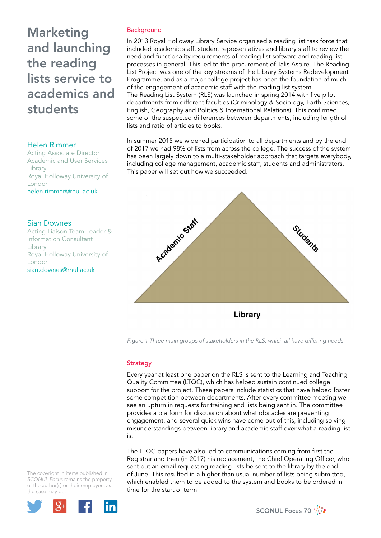# Marketing and launching the reading lists service to academics and students

# Helen Rimmer

Acting Associate Director Academic and User Services Library Royal Holloway University of London helen.rimmer@rhul.ac.uk

# Sian Downes

Acting Liaison Team Leader & Information Consultant Library Royal Holloway University of London sian.downes@rhul.ac.uk

# **Background**

In 2013 Royal Holloway Library Service organised a reading list task force that included academic staff, student representatives and library staff to review the need and functionality requirements of reading list software and reading list processes in general. This led to the procurement of Talis Aspire. The Reading List Project was one of the key streams of the Library Systems Redevelopment Programme, and as a major college project has been the foundation of much of the engagement of academic staff with the reading list system. The Reading List System (RLS) was launched in spring 2014 with five pilot departments from different faculties (Criminology & Sociology, Earth Sciences, English, Geography and Politics & International Relations). This confirmed some of the suspected differences between departments, including length of lists and ratio of articles to books.

In summer 2015 we widened participation to all departments and by the end of 2017 we had 98% of lists from across the college. The success of the system has been largely down to a multi-stakeholder approach that targets everybody, including college management, academic staff, students and administrators. This paper will set out how we succeeded.



*Figure 1 Three main groups of stakeholders in the RLS, which all have differing needs*

# **Strategy**

Every year at least one paper on the RLS is sent to the Learning and Teaching Quality Committee (LTQC), which has helped sustain continued college support for the project. These papers include statistics that have helped foster some competition between departments. After every committee meeting we see an upturn in requests for training and lists being sent in. The committee provides a platform for discussion about what obstacles are preventing engagement, and several quick wins have come out of this, including solving misunderstandings between library and academic staff over what a reading list is.

The LTQC papers have also led to communications coming from first the Registrar and then (in 2017) his replacement, the Chief Operating Officer, who sent out an email requesting reading lists be sent to the library by the end of June. This resulted in a higher than usual number of lists being submitted, which enabled them to be added to the system and books to be ordered in time for the start of term.



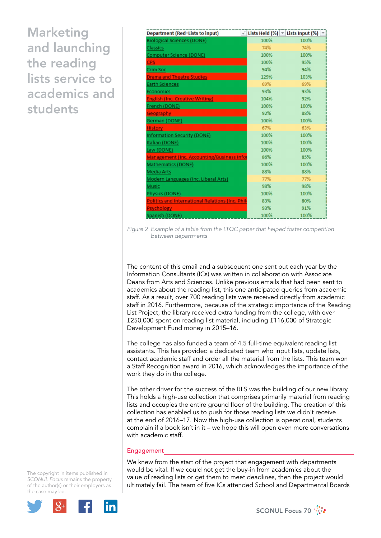Marketing and launching the reading lists service to academics and students

| <b>Department (Red=Lists to input)</b>            |      | -1 Lists Held (%) → Lists Input (%) → |
|---------------------------------------------------|------|---------------------------------------|
| <b>Biological Sciences (DONE)</b>                 | 100% | 100%                                  |
| Classics                                          | 74%  | 74%                                   |
| Computer Science (DONE)                           | 100% | 100%                                  |
| <b>CPS</b>                                        | 100% | 95%                                   |
| Crim Soc                                          | 94%  | 94%                                   |
| <b>Drama and Theatre Studies</b>                  | 129% | 103%                                  |
| <b>Earth Sciences</b>                             | 69%  | 69%                                   |
| Economics                                         | 93%  | 93%                                   |
| <b>English (Inc. Creative Writing)</b>            | 104% | 92%                                   |
| French (DONE)                                     | 100% | 100%                                  |
| <b>Geography</b>                                  | 92%  | 88%                                   |
| German (DONE)                                     | 100% | 100%                                  |
| <b>History</b>                                    | 67%  | 63%                                   |
| <b>Information Security (DONE)</b>                | 100% | 100%                                  |
| Italian (DONE)                                    | 100% | 100%                                  |
| Law (DONE)                                        | 100% | 100%                                  |
| <b>Management (Inc. Accounting/Business Infor</b> | 86%  | 85%                                   |
| Mathematics (DONE)                                | 100% | 100%                                  |
| Media Arts                                        | 88%  | 88%                                   |
| Modern Languages (Inc. Liberal Arts)              | 77%  | 77%                                   |
| Music                                             | 98%  | 98%                                   |
| Physics (DONE)                                    | 100% | 100%                                  |
| Politics and International Relations (Inc. Phil-  | 83%  | 80%                                   |
| <b>Psychology</b>                                 | 93%  | 91%                                   |
| Spanish (DONE)                                    | 100% | 100%                                  |

*Figure 2 Example of a table from the LTQC paper that helped foster competition between departments*

The content of this email and a subsequent one sent out each year by the Information Consultants (ICs) was written in collaboration with Associate Deans from Arts and Sciences. Unlike previous emails that had been sent to academics about the reading list, this one anticipated queries from academic staff. As a result, over 700 reading lists were received directly from academic staff in 2016. Furthermore, because of the strategic importance of the Reading List Project, the library received extra funding from the college, with over £250,000 spent on reading list material, including £116,000 of Strategic Development Fund money in 2015–16.

The college has also funded a team of 4.5 full-time equivalent reading list assistants. This has provided a dedicated team who input lists, update lists, contact academic staff and order all the material from the lists. This team won a Staff Recognition award in 2016, which acknowledges the importance of the work they do in the college.

The other driver for the success of the RLS was the building of our new library. This holds a high-use collection that comprises primarily material from reading lists and occupies the entire ground floor of the building. The creation of this collection has enabled us to push for those reading lists we didn't receive at the end of 2016–17. Now the high-use collection is operational, students complain if a book isn't in it – we hope this will open even more conversations with academic staff.

#### Engagement

We knew from the start of the project that engagement with departments would be vital. If we could not get the buy-in from academics about the value of reading lists or get them to meet deadlines, then the project would ultimately fail. The team of five ICs attended School and Departmental Boards



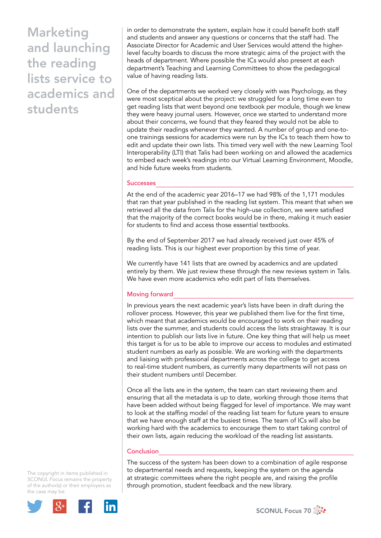Marketing and launching the reading lists service to academics and students

in order to demonstrate the system, explain how it could benefit both staff and students and answer any questions or concerns that the staff had. The Associate Director for Academic and User Services would attend the higherlevel faculty boards to discuss the more strategic aims of the project with the heads of department. Where possible the ICs would also present at each department's Teaching and Learning Committees to show the pedagogical value of having reading lists.

One of the departments we worked very closely with was Psychology, as they were most sceptical about the project: we struggled for a long time even to get reading lists that went beyond one textbook per module, though we knew they were heavy journal users. However, once we started to understand more about their concerns, we found that they feared they would not be able to update their readings whenever they wanted. A number of group and one-toone trainings sessions for academics were run by the ICs to teach them how to edit and update their own lists. This timed very well with the new Learning Tool Interoperability (LTI) that Talis had been working on and allowed the academics to embed each week's readings into our Virtual Learning Environment, Moodle, and hide future weeks from students.

#### Successes

At the end of the academic year 2016–17 we had 98% of the 1,171 modules that ran that year published in the reading list system. This meant that when we retrieved all the data from Talis for the high-use collection, we were satisfied that the majority of the correct books would be in there, making it much easier for students to find and access those essential textbooks.

By the end of September 2017 we had already received just over 45% of reading lists. This is our highest ever proportion by this time of year.

We currently have 141 lists that are owned by academics and are updated entirely by them. We just review these through the new reviews system in Talis. We have even more academics who edit part of lists themselves.

#### Moving forward

In previous years the next academic year's lists have been in draft during the rollover process. However, this year we published them live for the first time, which meant that academics would be encouraged to work on their reading lists over the summer, and students could access the lists straightaway. It is our intention to publish our lists live in future. One key thing that will help us meet this target is for us to be able to improve our access to modules and estimated student numbers as early as possible. We are working with the departments and liaising with professional departments across the college to get access to real-time student numbers, as currently many departments will not pass on their student numbers until December.

Once all the lists are in the system, the team can start reviewing them and ensuring that all the metadata is up to date, working through those items that have been added without being flagged for level of importance. We may want to look at the staffing model of the reading list team for future years to ensure that we have enough staff at the busiest times. The team of ICs will also be working hard with the academics to encourage them to start taking control of their own lists, again reducing the workload of the reading list assistants.

#### **Conclusion**

The success of the system has been down to a combination of agile response to departmental needs and requests, keeping the system on the agenda at strategic committees where the right people are, and raising the profile through promotion, student feedback and the new library.



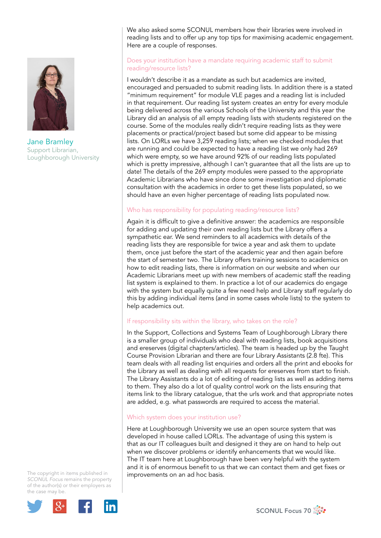

Jane Bramley Support Librarian, Loughborough University

We also asked some SCONUL members how their libraries were involved in reading lists and to offer up any top tips for maximising academic engagement. Here are a couple of responses.

#### Does your institution have a mandate requiring academic staff to submit reading/resource lists?

I wouldn't describe it as a mandate as such but academics are invited, encouraged and persuaded to submit reading lists. In addition there is a stated "minimum requirement" for module VLE pages and a reading list is included in that requirement. Our reading list system creates an entry for every module being delivered across the various Schools of the University and this year the Library did an analysis of all empty reading lists with students registered on the course. Some of the modules really didn't require reading lists as they were placements or practical/project based but some did appear to be missing lists. On LORLs we have 3,259 reading lists; when we checked modules that are running and could be expected to have a reading list we only had 269 which were empty, so we have around 92% of our reading lists populated which is pretty impressive, although I can't guarantee that all the lists are up to date! The details of the 269 empty modules were passed to the appropriate Academic Librarians who have since done some investigation and diplomatic consultation with the academics in order to get these lists populated, so we should have an even higher percentage of reading lists populated now.

# Who has responsibility for populating reading/resource lists?

Again it is difficult to give a definitive answer: the academics are responsible for adding and updating their own reading lists but the Library offers a sympathetic ear. We send reminders to all academics with details of the reading lists they are responsible for twice a year and ask them to update them, once just before the start of the academic year and then again before the start of semester two. The Library offers training sessions to academics on how to edit reading lists, there is information on our website and when our Academic Librarians meet up with new members of academic staff the reading list system is explained to them. In practice a lot of our academics do engage with the system but equally quite a few need help and Library staff regularly do this by adding individual items (and in some cases whole lists) to the system to help academics out.

# If responsibility sits within the library, who takes on the role?

In the Support, Collections and Systems Team of Loughborough Library there is a smaller group of individuals who deal with reading lists, book acquisitions and ereserves (digital chapters/articles). The team is headed up by the Taught Course Provision Librarian and there are four Library Assistants (2.8 fte). This team deals with all reading list enquiries and orders all the print and ebooks for the Library as well as dealing with all requests for ereserves from start to finish. The Library Assistants do a lot of editing of reading lists as well as adding items to them. They also do a lot of quality control work on the lists ensuring that items link to the library catalogue, that the urls work and that appropriate notes are added, e.g. what passwords are required to access the material.

# Which system does your institution use?

Here at Loughborough University we use an open source system that was developed in house called LORLs. The advantage of using this system is that as our IT colleagues built and designed it they are on hand to help out when we discover problems or identify enhancements that we would like. The IT team here at Loughborough have been very helpful with the system and it is of enormous benefit to us that we can contact them and get fixes or improvements on an ad hoc basis.



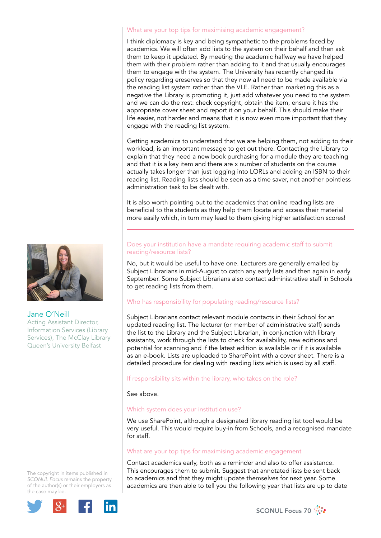#### What are your top tips for maximising academic engagement?

I think diplomacy is key and being sympathetic to the problems faced by academics. We will often add lists to the system on their behalf and then ask them to keep it updated. By meeting the academic halfway we have helped them with their problem rather than adding to it and that usually encourages them to engage with the system. The University has recently changed its policy regarding ereserves so that they now all need to be made available via the reading list system rather than the VLE. Rather than marketing this as a negative the Library is promoting it, just add whatever you need to the system and we can do the rest: check copyright, obtain the item, ensure it has the appropriate cover sheet and report it on your behalf. This should make their life easier, not harder and means that it is now even more important that they engage with the reading list system.

Getting academics to understand that we are helping them, not adding to their workload, is an important message to get out there. Contacting the Library to explain that they need a new book purchasing for a module they are teaching and that it is a key item and there are x number of students on the course actually takes longer than just logging into LORLs and adding an ISBN to their reading list. Reading lists should be seen as a time saver, not another pointless administration task to be dealt with.

It is also worth pointing out to the academics that online reading lists are beneficial to the students as they help them locate and access their material more easily which, in turn may lead to them giving higher satisfaction scores!

#### Does your institution have a mandate requiring academic staff to submit reading/resource lists?

No, but it would be useful to have one. Lecturers are generally emailed by Subject Librarians in mid-August to catch any early lists and then again in early September. Some Subject Librarians also contact administrative staff in Schools to get reading lists from them.

#### Who has responsibility for populating reading/resource lists?

Subject Librarians contact relevant module contacts in their School for an updated reading list. The lecturer (or member of administrative staff) sends the list to the Library and the Subject Librarian, in conjunction with library assistants, work through the lists to check for availability, new editions and potential for scanning and if the latest edition is available or if it is available as an e-book. Lists are uploaded to SharePoint with a cover sheet. There is a detailed procedure for dealing with reading lists which is used by all staff.

# If responsibility sits within the library, who takes on the role?

See above.

# Which system does your institution use?

We use SharePoint, although a designated library reading list tool would be very useful. This would require buy-in from Schools, and a recognised mandate for staff.

# What are your top tips for maximising academic engagement

Contact academics early, both as a reminder and also to offer assistance. This encourages them to submit. Suggest that annotated lists be sent back to academics and that they might update themselves for next year. Some academics are then able to tell you the following year that lists are up to date



#### Jane O'Neill

Acting Assistant Director, Information Services (Library Services), The McClay Library Queen's University Belfast